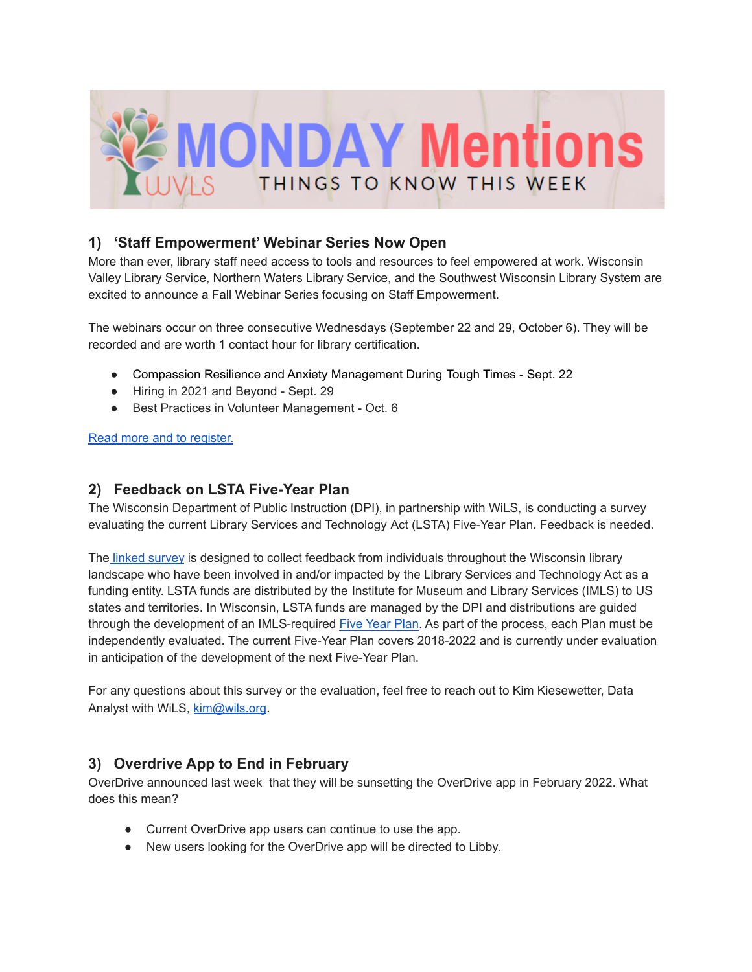

### **1) 'Staff Empowerment' Webinar Series Now Open**

More than ever, library staff need access to tools and resources to feel empowered at work. Wisconsin Valley Library Service, Northern Waters Library Service, and the Southwest Wisconsin Library System are excited to announce a Fall Webinar Series focusing on Staff Empowerment.

The webinars occur on three consecutive Wednesdays (September 22 and 29, October 6). They will be recorded and are worth 1 contact hour for library certification.

- Compassion Resilience and Anxiety Management During Tough Times Sept. 22
- Hiring in 2021 and Beyond Sept. 29
- Best Practices in Volunteer Management Oct. 6

Read more and to [register.](https://wvls.org/fall-webinar-series-on-staff-empowerment/)

#### **2) Feedback on LSTA Five-Year Plan**

The Wisconsin Department of Public Instruction (DPI), in partnership with WiLS, is conducting a survey evaluating the current Library Services and Technology Act (LSTA) Five-Year Plan. Feedback is needed.

The linked [survey](https://www.surveymonkey.com/r/DPILSTASurvey) is designed to collect feedback from individuals throughout the Wisconsin library landscape who have been involved in and/or impacted by the Library Services and Technology Act as a funding entity. LSTA funds are distributed by the Institute for Museum and Library Services (IMLS) to US states and territories. In Wisconsin, LSTA funds are managed by the DPI and distributions are guided through the development of an IMLS-required Five [Year](https://www.imls.gov/sites/default/files/state-profiles/plans/wisconsin5yearplan.pdf) Plan. As part of the process, each Plan must be independently evaluated. The current Five-Year Plan covers 2018-2022 and is currently under evaluation in anticipation of the development of the next Five-Year Plan.

For any questions about this survey or the evaluation, feel free to reach out to Kim Kiesewetter, Data Analyst with WiLS, [kim@wils.org](mailto:kim@wils.org).

### **3) Overdrive App to End in February**

OverDrive announced last week that they will be sunsetting the OverDrive app in February 2022. What does this mean?

- Current OverDrive app users can continue to use the app.
- New users looking for the OverDrive app will be directed to Libby.